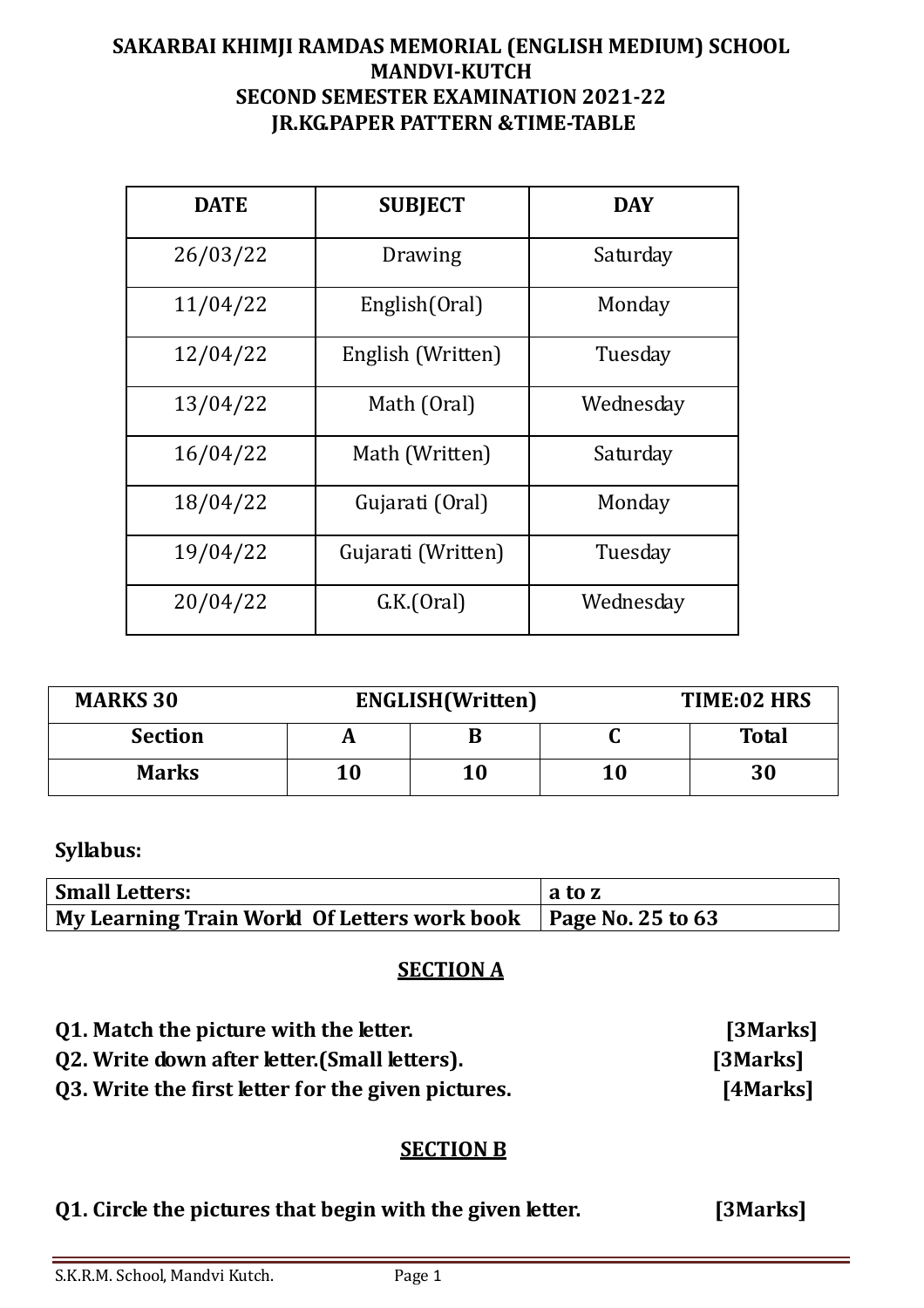### **SAKARBAI KHIMJI RAMDAS MEMORIAL (ENGLISH MEDIUM) SCHOOL MANDVI-KUTCH SECOND SEMESTER EXAMINATION 2021-22 JR.KG.PAPER PATTERN &TIME-TABLE**

| <b>DATE</b> | <b>SUBJECT</b>     | <b>DAY</b> |
|-------------|--------------------|------------|
| 26/03/22    | Drawing            | Saturday   |
| 11/04/22    | English(Oral)      | Monday     |
| 12/04/22    | English (Written)  | Tuesday    |
| 13/04/22    | Math (Oral)        | Wednesday  |
| 16/04/22    | Math (Written)     | Saturday   |
| 18/04/22    | Gujarati (Oral)    | Monday     |
| 19/04/22    | Gujarati (Written) | Tuesday    |
| 20/04/22    | GK(Oral)           | Wednesday  |

| <b>MARKS 30</b> | <b>ENGLISH</b> (Written) |    |           | TIME:02 HRS  |
|-----------------|--------------------------|----|-----------|--------------|
| <b>Section</b>  | A                        | В  |           | <b>Total</b> |
| <b>Marks</b>    | 10                       | 10 | $\bf{10}$ | 30           |

## **Syllabus:**

| <b>Small Letters:</b>                                                  | $\ln$ ato z |
|------------------------------------------------------------------------|-------------|
| My Learning Train World Of Letters work book $\vert$ Page No. 25 to 63 |             |

### **SECTION A**

| 01. Match the picture with the letter.             | [3Marks] |
|----------------------------------------------------|----------|
| Q2. Write down after letter. (Small letters).      | [3Marks] |
| Q3. Write the first letter for the given pictures. | [4Marks] |

#### **SECTION B**

| Q1. Circle the pictures that begin with the given letter. | [3Marks] |
|-----------------------------------------------------------|----------|
|                                                           |          |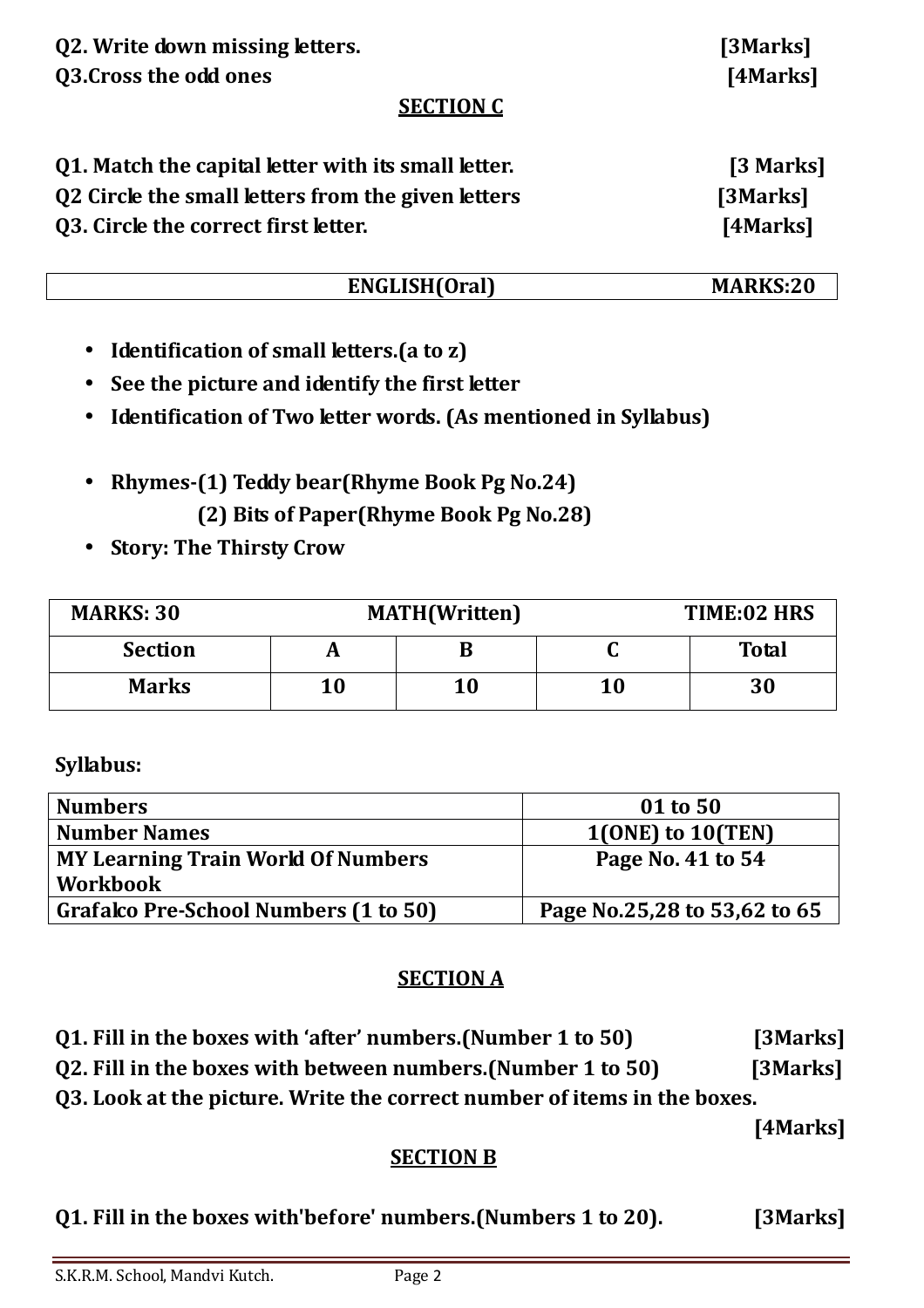| Q3. Cross the odd ones                              | $\sim$ $\sim$ $\sim$ $\sim$ $\sim$ $\sim$ $\sim$ $\sim$<br>[4Marks] |  |
|-----------------------------------------------------|---------------------------------------------------------------------|--|
| <b>SECTION C</b>                                    |                                                                     |  |
| 01. Match the capital letter with its small letter. | [3 Marks]                                                           |  |
| Q2 Circle the small letters from the given letters  | [3Marks]                                                            |  |
| Q3. Circle the correct first letter.                | [4Marks]                                                            |  |

# **ENGLISH(Oral) MARKS:20**

- **Identification of small letters.(a to z)**
- **See the picture and identify the first letter**
- **Identification of Two letter words. (As mentioned in Syllabus)**
- **Rhymes-(1) Teddy bear(Rhyme Book Pg No.24) (2) Bits of Paper(Rhyme Book Pg No.28)**
- **Story: The Thirsty Crow**

| <b>MARKS: 30</b> | <b>MATH</b> (Written) |    | TIME:02 HRS  |
|------------------|-----------------------|----|--------------|
| <b>Section</b>   |                       |    | <b>Total</b> |
| <b>Marks</b>     | 10                    | 10 | 30           |

# **Syllabus:**

| <b>Numbers</b>                            | 01 to 50                     |
|-------------------------------------------|------------------------------|
| <b>Number Names</b>                       | $1(ONE)$ to $10(TEN)$        |
| <b>MY Learning Train World Of Numbers</b> | Page No. 41 to 54            |
| <b>Workbook</b>                           |                              |
| Grafalco Pre-School Numbers (1 to 50)     | Page No.25,28 to 53,62 to 65 |

### **SECTION A**

- **Q1. Fill in the boxes with 'after' numbers.(Number 1 to 50) [3Marks]**
- **Q2. Fill in the boxes with between numbers.(Number 1 to 50) [3Marks]**

**Q3. Look at the picture. Write the correct number of items in the boxes.** 

 **[4Marks]** 

### **SECTION B**

**Q1. Fill in the boxes with'before' numbers.(Numbers 1 to 20). [3Marks]** 

**Q2. Write down missing letters. [3Marks]**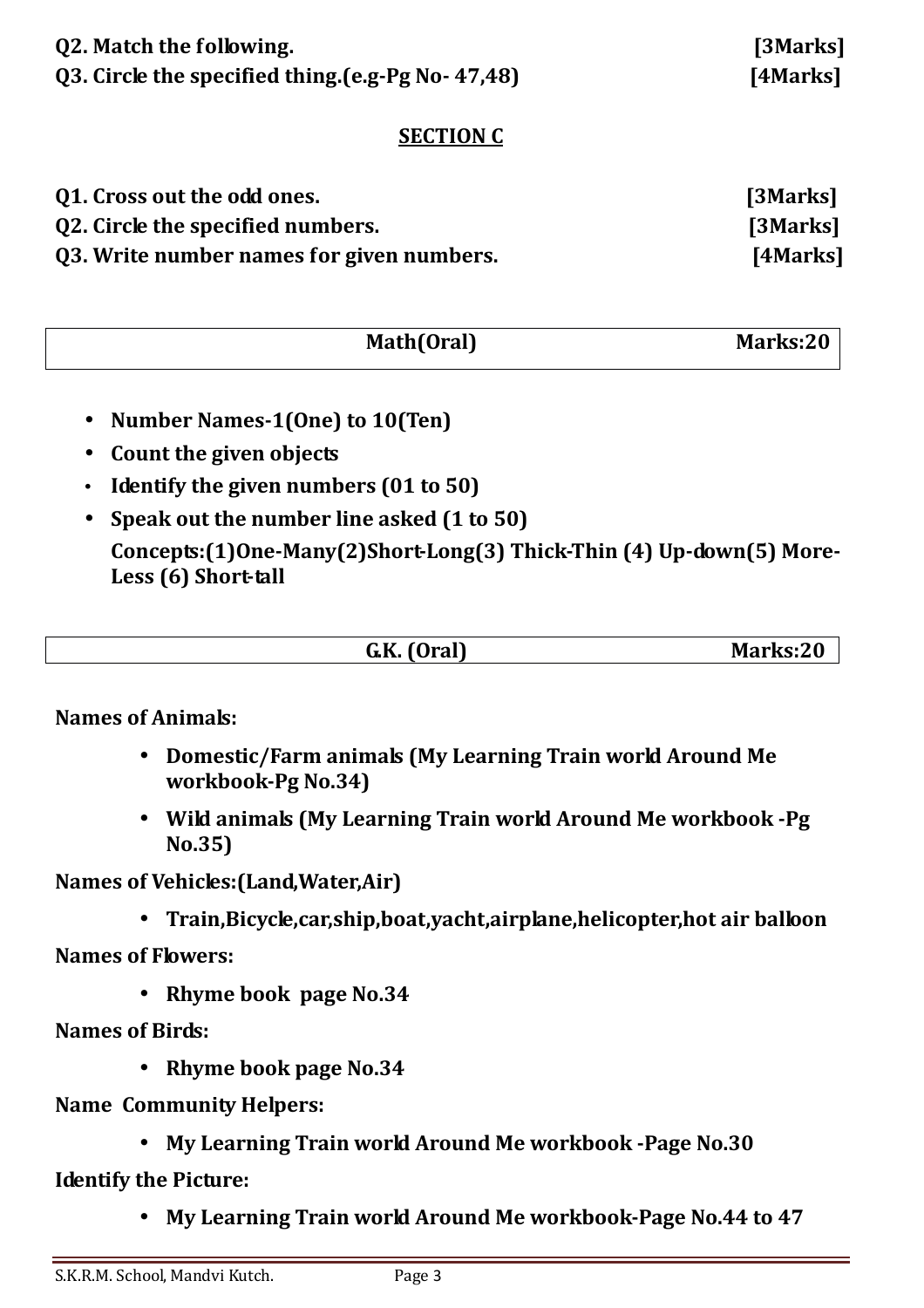| Q2. Match the following.                          |  |
|---------------------------------------------------|--|
| Q3. Circle the specified thing.(e.g-Pg No- 47,48) |  |

[3Marks] **[4Marks]** 

### **SECTION C**

| Q1. Cross out the odd ones.               | [3Marks] |
|-------------------------------------------|----------|
| Q2. Circle the specified numbers.         | [3Marks] |
| Q3. Write number names for given numbers. | [4Marks] |

| Math(Oral) | Marks:20 |
|------------|----------|
|            |          |

- **Number Names-1(One) to 10(Ten)**
- **Count the given objects**
- **Identify the given numbers (01 to 50)**
- **Speak out the number line asked (1 to 50) Concepts:(1)One-Many(2)Short-Long(3) Thick-Thin (4) Up-down(5) More-Less (6) Short-tall**

| $\blacksquare$<br>$\mathbf{z}$<br>--- -<br>$\overline{\phantom{0}}$<br>$\blacksquare$<br>1 І<br>$\mathbf{v}$ | M<br>.<br>_______ |
|--------------------------------------------------------------------------------------------------------------|-------------------|
|                                                                                                              |                   |

**Names of Animals:** 

- **Domestic/Farm animals (My Learning Train world Around Me workbook-Pg No.34)**
- **Wild animals (My Learning Train world Around Me workbook -Pg No.35)**

**Names of Vehicles:(Land,Water,Air)** 

• **Train,Bicycle,car,ship,boat,yacht,airplane,helicopter,hot air balloon** 

**Names of Flowers:** 

• **Rhyme book page No.34** 

**Names of Birds:** 

- **Rhyme book page No.34**
- **Name Community Helpers:** 
	- **My Learning Train world Around Me workbook -Page No.30**

**Identify the Picture:** 

• **My Learning Train world Around Me workbook-Page No.44 to 47**